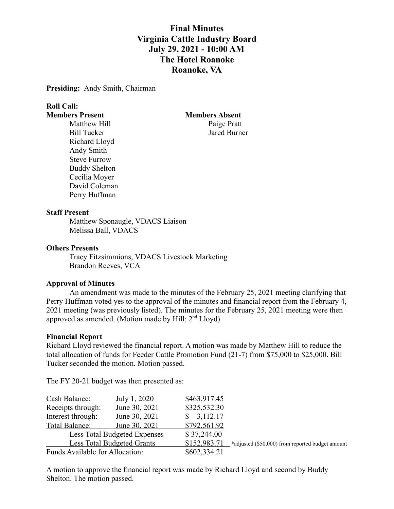# **Final Minutes Virginia Cattle Industry Board July 29, 2021 - 10:00 AM The Hotel Roanoke Roanoke, VA**

**Presiding:** Andy Smith, Chairman

# **Roll Call:**

Matthew Hill Paige Pratt Richard Lloyd Andy Smith Steve Furrow Buddy Shelton Cecilia Moyer David Coleman Perry Huffman

**Members Present Members Absent** Bill Tucker Jared Burner

#### **Staff Present**

Matthew Sponaugle, VDACS Liaison Melissa Ball, VDACS

#### **Others Presents**

Tracy Fitzsimmions, VDACS Livestock Marketing Brandon Reeves, VCA

#### **Approval of Minutes**

An amendment was made to the minutes of the February 25, 2021 meeting clarifying that Perry Huffman voted yes to the approval of the minutes and financial report from the February 4, 2021 meeting (was previously listed). The minutes for the February 25, 2021 meeting were then approved as amended. (Motion made by Hill;  $2<sup>nd</sup> Lloyd$ )

#### **Financial Report**

Richard Lloyd reviewed the financial report. A motion was made by Matthew Hill to reduce the total allocation of funds for Feeder Cattle Promotion Fund (21-7) from \$75,000 to \$25,000. Bill Tucker seconded the motion. Motion passed.

The FY 20-21 budget was then presented as:

| Cash Balance:                     | July 1, 2020                 | \$463,917.45 |                                                  |
|-----------------------------------|------------------------------|--------------|--------------------------------------------------|
| Receipts through:                 | June 30, 2021                | \$325,532.30 |                                                  |
| Interest through:                 | June 30, 2021                | \$3,112.17   |                                                  |
| Total Balance:                    | June 30, 2021                | \$792,561.92 |                                                  |
|                                   | Less Total Budgeted Expenses | \$37,244.00  |                                                  |
| <b>Less Total Budgeted Grants</b> |                              | \$152,983.71 | *adjusted (\$50,000) from reported budget amount |
| Funds Available for Allocation:   |                              | \$602,334.21 |                                                  |

A motion to approve the financial report was made by Richard Lloyd and second by Buddy Shelton. The motion passed.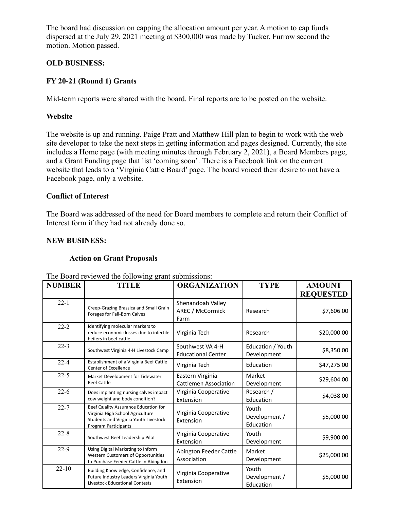The board had discussion on capping the allocation amount per year. A motion to cap funds dispersed at the July 29, 2021 meeting at \$300,000 was made by Tucker. Furrow second the motion. Motion passed.

# **OLD BUSINESS:**

# **FY 20-21 (Round 1) Grants**

Mid-term reports were shared with the board. Final reports are to be posted on the website.

# **Website**

The website is up and running. Paige Pratt and Matthew Hill plan to begin to work with the web site developer to take the next steps in getting information and pages designed. Currently, the site includes a Home page (with meeting minutes through February 2, 2021), a Board Members page, and a Grant Funding page that list 'coming soon'. There is a Facebook link on the current website that leads to a 'Virginia Cattle Board' page. The board voiced their desire to not have a Facebook page, only a website.

# **Conflict of Interest**

The Board was addressed of the need for Board members to complete and return their Conflict of Interest form if they had not already done so.

# **NEW BUSINESS:**

# **Action on Grant Proposals**

| <b>NUMBER</b> | <b>TITLE</b>                                                                                                                              | <b>ORGANIZATION</b>                              | <b>TYPE</b>                         | <b>AMOUNT</b><br><b>REQUESTED</b> |
|---------------|-------------------------------------------------------------------------------------------------------------------------------------------|--------------------------------------------------|-------------------------------------|-----------------------------------|
| $22 - 1$      | Creep-Grazing Brassica and Small Grain<br>Forages for Fall-Born Calves                                                                    | Shenandoah Valley<br>AREC / McCormick<br>Farm    | Research                            | \$7,606.00                        |
| $22 - 2$      | Identifying molecular markers to<br>reduce economic losses due to infertile<br>heifers in beef cattle                                     | Virginia Tech                                    | Research                            | \$20,000.00                       |
| $22 - 3$      | Southwest Virginia 4-H Livestock Camp                                                                                                     | Southwest VA 4-H<br><b>Educational Center</b>    | Education / Youth<br>Development    | \$8,350.00                        |
| $22 - 4$      | Establishment of a Virginia Beef Cattle<br>Center of Excellence                                                                           | Virginia Tech                                    | Education                           | \$47,275.00                       |
| $22 - 5$      | Market Development for Tidewater<br><b>Beef Cattle</b>                                                                                    | Eastern Virginia<br><b>Cattlemen Association</b> | Market<br>Development               | \$29,604.00                       |
| $22-6$        | Does implanting nursing calves impact<br>cow weight and body condition?                                                                   | Virginia Cooperative<br>Extension                | Research /<br>Education             | \$4,038.00                        |
| $22 - 7$      | Beef Quality Assurance Education for<br>Virginia High School Agriculture<br>Students and Virginia Youth Livestock<br>Program Participants | Virginia Cooperative<br>Extension                | Youth<br>Development /<br>Education | \$5,000.00                        |
| $22 - 8$      | Southwest Beef Leadership Pilot                                                                                                           | Virginia Cooperative<br>Extension                | Youth<br>Development                | \$9,900.00                        |
| $22-9$        | Using Digital Marketing to Inform<br><b>Western Customers of Opportunities</b><br>to Purchase Feeder Cattle in Abingdon                   | Abington Feeder Cattle<br>Association            | Market<br>Development               | \$25,000.00                       |
| $22 - 10$     | Building Knowledge, Confidence, and<br>Future Industry Leaders Virginia Youth<br><b>Livestock Educational Contests</b>                    | Virginia Cooperative<br>Extension                | Youth<br>Development /<br>Education | \$5,000.00                        |

 $T_{\text{max}}$  Board results and define following grant submissions: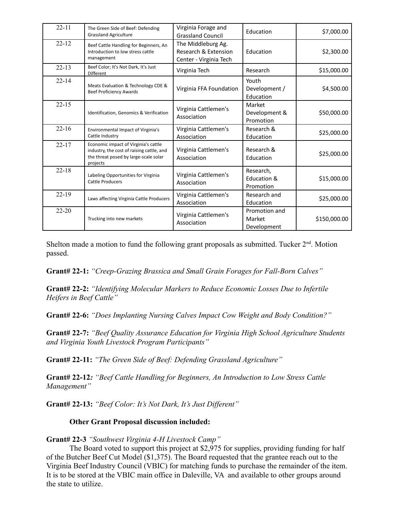| $22 - 11$ | The Green Side of Beef: Defending<br><b>Grassland Agriculture</b>                                                                      | Virginia Forage and<br><b>Grassland Council</b>                      | Education                              | \$7,000.00   |
|-----------|----------------------------------------------------------------------------------------------------------------------------------------|----------------------------------------------------------------------|----------------------------------------|--------------|
| $22 - 12$ | Beef Cattle Handling for Beginners, An<br>Introduction to low stress cattle<br>management                                              | The Middleburg Ag.<br>Research & Extension<br>Center - Virginia Tech | Education                              | \$2,300.00   |
| $22 - 13$ | Beef Color; It's Not Dark, It's Just<br>Different                                                                                      | Virginia Tech                                                        | Research                               | \$15,000.00  |
| $22 - 14$ | Meats Evaluation & Technology CDE &<br><b>Beef Proficiency Awards</b>                                                                  | Virginia FFA Foundation                                              | Youth<br>Development /<br>Education    | \$4,500.00   |
| $22 - 15$ | Identification, Genomics & Verification                                                                                                | Virginia Cattlemen's<br>Association                                  | Market<br>Development &<br>Promotion   | \$50,000.00  |
| $22 - 16$ | <b>Environmental Impact of Virginia's</b><br>Cattle Industry                                                                           | Virginia Cattlemen's<br>Association                                  | Research &<br>Education                | \$25,000.00  |
| $22 - 17$ | Economic impact of Virginia's cattle<br>industry, the cost of raising cattle, and<br>the threat posed by large-scale solar<br>projects | Virginia Cattlemen's<br>Association                                  | Research &<br>Education                | \$25,000.00  |
| $22 - 18$ | Labeling Opportunities for Virginia<br><b>Cattle Producers</b>                                                                         | Virginia Cattlemen's<br>Association                                  | Research,<br>Education &<br>Promotion  | \$15,000.00  |
| $22 - 19$ | Laws affecting Virginia Cattle Producers                                                                                               | Virginia Cattlemen's<br>Association                                  | Research and<br>Education              | \$25,000.00  |
| $22 - 20$ | Trucking into new markets                                                                                                              | Virginia Cattlemen's<br>Association                                  | Promotion and<br>Market<br>Development | \$150,000.00 |

Shelton made a motion to fund the following grant proposals as submitted. Tucker  $2<sup>nd</sup>$ . Motion passed.

**Grant# 22-1:** *"Creep-Grazing Brassica and Small Grain Forages for Fall-Born Calves"*

**Grant# 22-2:** *"Identifying Molecular Markers to Reduce Economic Losses Due to Infertile Heifers in Beef Cattle"*

**Grant# 22-6:** *"Does Implanting Nursing Calves Impact Cow Weight and Body Condition?"*

**Grant# 22-7:** *"Beef Quality Assurance Education for Virginia High School Agriculture Students and Virginia Youth Livestock Program Participants"*

**Grant# 22-11:** *"The Green Side of Beef: Defending Grassland Agriculture"*

**Grant# 22-12***: "Beef Cattle Handling for Beginners, An Introduction to Low Stress Cattle Management"*

**Grant# 22-13:** *"Beef Color: It's Not Dark, It's Just Different"*

#### **Other Grant Proposal discussion included:**

#### **Grant# 22-3** *"Southwest Virginia 4-H Livestock Camp"*

The Board voted to support this project at \$2,975 for supplies, providing funding for half of the Butcher Beef Cut Model (\$1,375). The Board requested that the grantee reach out to the Virginia Beef Industry Council (VBIC) for matching funds to purchase the remainder of the item. It is to be stored at the VBIC main office in Daleville, VA and available to other groups around the state to utilize.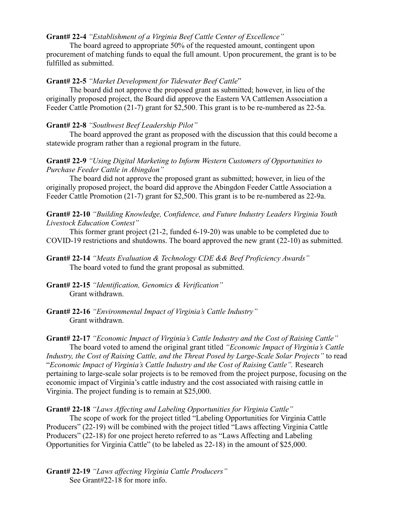### **Grant# 22-4** *"Establishment of a Virginia Beef Cattle Center of Excellence"*

The board agreed to appropriate 50% of the requested amount, contingent upon procurement of matching funds to equal the full amount. Upon procurement, the grant is to be fulfilled as submitted.

### **Grant# 22-5** *"Market Development for Tidewater Beef Cattle*"

The board did not approve the proposed grant as submitted; however, in lieu of the originally proposed project, the Board did approve the Eastern VA Cattlemen Association a Feeder Cattle Promotion (21-7) grant for \$2,500. This grant is to be re-numbered as 22-5a.

# **Grant# 22-8** *"Southwest Beef Leadership Pilot"*

The board approved the grant as proposed with the discussion that this could become a statewide program rather than a regional program in the future.

# **Grant# 22-9** *"Using Digital Marketing to Inform Western Customers of Opportunities to Purchase Feeder Cattle in Abingdon"*

The board did not approve the proposed grant as submitted; however, in lieu of the originally proposed project, the board did approve the Abingdon Feeder Cattle Association a Feeder Cattle Promotion (21-7) grant for \$2,500. This grant is to be re-numbered as 22-9a.

**Grant# 22-10** *"Building Knowledge, Confidence, and Future Industry Leaders Virginia Youth Livestock Education Contest"*

This former grant project (21-2, funded 6-19-20) was unable to be completed due to COVID-19 restrictions and shutdowns. The board approved the new grant (22-10) as submitted.

- **Grant# 22-14** *"Meats Evaluation & Technology CDE && Beef Proficiency Awards"* The board voted to fund the grant proposal as submitted.
- **Grant# 22-15** *"Identification, Genomics & Verification"* Grant withdrawn.
- **Grant# 22-16** *"Environmental Impact of Virginia's Cattle Industry"* Grant withdrawn.

**Grant# 22-17** *"Economic Impact of Virginia's Cattle Industry and the Cost of Raising Cattle"*

The board voted to amend the original grant titled *"Economic Impact of Virginia's Cattle Industry, the Cost of Raising Cattle, and the Threat Posed by Large-Scale Solar Projects"* to read "*Economic Impact of Virginia's Cattle Industry and the Cost of Raising Cattle".* Research pertaining to large-scale solar projects is to be removed from the project purpose, focusing on the economic impact of Virginia's cattle industry and the cost associated with raising cattle in Virginia. The project funding is to remain at \$25,000.

# **Grant# 22-18** *"Laws Affecting and Labeling Opportunities for Virginia Cattle"*

The scope of work for the project titled "Labeling Opportunities for Virginia Cattle Producers" (22-19) will be combined with the project titled "Laws affecting Virginia Cattle Producers" (22-18) for one project hereto referred to as "Laws Affecting and Labeling Opportunities for Virginia Cattle" (to be labeled as 22-18) in the amount of \$25,000.

**Grant# 22-19** *"Laws affecting Virginia Cattle Producers"* See Grant#22-18 for more info.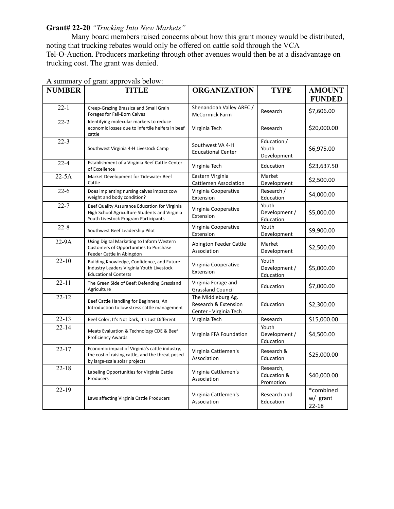# **Grant# 22-20** *"Trucking Into New Markets"*

Many board members raised concerns about how this grant money would be distributed, noting that trucking rebates would only be offered on cattle sold through the VCA Tel-O-Auction. Producers marketing through other avenues would then be at a disadvantage on trucking cost. The grant was denied.

| <b>NUMBER</b> | <b>TITLE</b>                                                                                                                           | <b>ORGANIZATION</b>                                                  | <b>TYPE</b>                           | <b>AMOUNT</b>                      |
|---------------|----------------------------------------------------------------------------------------------------------------------------------------|----------------------------------------------------------------------|---------------------------------------|------------------------------------|
|               |                                                                                                                                        |                                                                      |                                       | <b>FUNDED</b>                      |
| $22 - 1$      | Creep-Grazing Brassica and Small Grain<br>Forages for Fall-Born Calves                                                                 | Shenandoah Valley AREC /<br>McCormick Farm                           | Research                              | \$7,606.00                         |
| $22 - 2$      | Identifying molecular markers to reduce<br>economic losses due to infertile heifers in beef<br>cattle                                  | Virginia Tech                                                        | Research                              | \$20,000.00                        |
| $22 - 3$      | Southwest Virginia 4-H Livestock Camp                                                                                                  | Southwest VA 4-H<br><b>Educational Center</b>                        | Education /<br>Youth<br>Development   | \$6,975.00                         |
| $22 - 4$      | Establishment of a Virginia Beef Cattle Center<br>of Excellence                                                                        | Virginia Tech                                                        | Education                             | \$23,637.50                        |
| $22-5A$       | Market Development for Tidewater Beef<br>Cattle                                                                                        | Eastern Virginia<br><b>Cattlemen Association</b>                     | Market<br>Development                 | \$2,500.00                         |
| $22-6$        | Does implanting nursing calves impact cow<br>weight and body condition?                                                                | Virginia Cooperative<br>Extension                                    | Research /<br>Education               | \$4,000.00                         |
| $22 - 7$      | Beef Quality Assurance Education for Virginia<br>High School Agriculture Students and Virginia<br>Youth Livestock Program Participants | Virginia Cooperative<br>Extension                                    | Youth<br>Development /<br>Education   | \$5,000.00                         |
| $22 - 8$      | Southwest Beef Leadership Pilot                                                                                                        | Virginia Cooperative<br>Extension                                    | Youth<br>Development                  | \$9,900.00                         |
| $22-9A$       | Using Digital Marketing to Inform Western<br>Customers of Opportunities to Purchase<br>Feeder Cattle in Abingdon                       | Abington Feeder Cattle<br>Association                                | Market<br>Development                 | \$2,500.00                         |
| $22 - 10$     | Building Knowledge, Confidence, and Future<br>Industry Leaders Virginia Youth Livestock<br><b>Educational Contests</b>                 | Virginia Cooperative<br>Extension                                    | Youth<br>Development /<br>Education   | \$5,000.00                         |
| $22 - 11$     | The Green Side of Beef: Defending Grassland<br>Agriculture                                                                             | Virginia Forage and<br><b>Grassland Council</b>                      | Education                             | \$7,000.00                         |
| $22 - 12$     | Beef Cattle Handling for Beginners, An<br>Introduction to low stress cattle management                                                 | The Middleburg Ag.<br>Research & Extension<br>Center - Virginia Tech | Education                             | \$2,300.00                         |
| $22 - 13$     | Beef Color; It's Not Dark, It's Just Different                                                                                         | Virginia Tech                                                        | Research                              | \$15,000.00                        |
| $22 - 14$     | Meats Evaluation & Technology CDE & Beef<br>Proficiency Awards                                                                         | Virginia FFA Foundation                                              | Youth<br>Development /<br>Education   | \$4,500.00                         |
| $22 - 17$     | Economic impact of Virginia's cattle industry,<br>the cost of raising cattle, and the threat posed<br>by large-scale solar projects    | Virginia Cattlemen's<br>Association                                  | Research &<br>Education               | \$25,000.00                        |
| $22 - 18$     | Labeling Opportunities for Virginia Cattle<br>Producers                                                                                | Virginia Cattlemen's<br>Association                                  | Research,<br>Education &<br>Promotion | \$40,000.00                        |
| $22 - 19$     | Laws affecting Virginia Cattle Producers                                                                                               | Virginia Cattlemen's<br>Association                                  | Research and<br>Education             | *combined<br>w/ grant<br>$22 - 18$ |

A summary of grant approvals below: